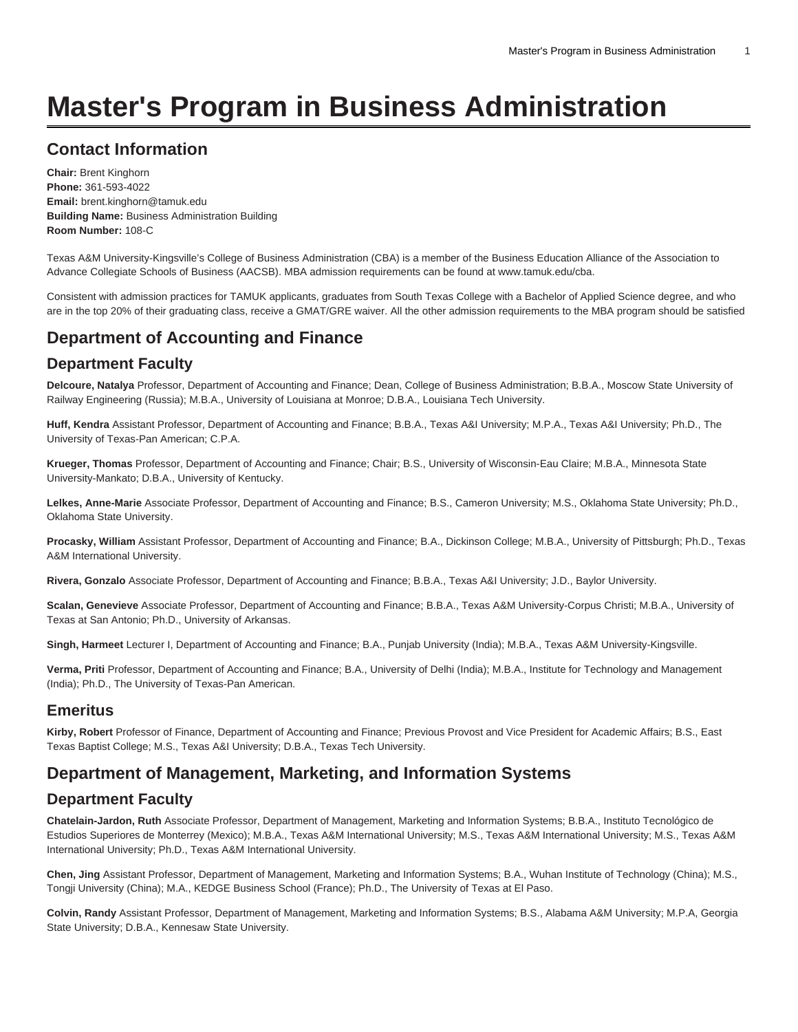# **Master's Program in Business Administration**

# **Contact Information**

**Chair:** Brent Kinghorn **Phone:** 361-593-4022 **Email:** [brent.kinghorn@tamuk.edu](mailto:brent.kinghorn@tamuk.edu) **Building Name:** Business Administration Building **Room Number:** 108-C

Texas A&M University-Kingsville's College of Business Administration (CBA) is a member of the Business Education Alliance of the Association to Advance Collegiate Schools of Business (AACSB). MBA admission requirements can be found at [www.tamuk.edu/cba](http://www.tamuk.edu/cba/).

Consistent with admission practices for TAMUK applicants, graduates from South Texas College with a Bachelor of Applied Science degree, and who are in the top 20% of their graduating class, receive a GMAT/GRE waiver. All the other admission requirements to the MBA program should be satisfied

# **Department of Accounting and Finance**

### **Department Faculty**

**Delcoure, Natalya** Professor, Department of Accounting and Finance; Dean, College of Business Administration; B.B.A., Moscow State University of Railway Engineering (Russia); M.B.A., University of Louisiana at Monroe; D.B.A., Louisiana Tech University.

**Huff, Kendra** Assistant Professor, Department of Accounting and Finance; B.B.A., Texas A&I University; M.P.A., Texas A&I University; Ph.D., The University of Texas-Pan American; C.P.A.

**Krueger, Thomas** Professor, Department of Accounting and Finance; Chair; B.S., University of Wisconsin-Eau Claire; M.B.A., Minnesota State University-Mankato; D.B.A., University of Kentucky.

**Lelkes, Anne-Marie** Associate Professor, Department of Accounting and Finance; B.S., Cameron University; M.S., Oklahoma State University; Ph.D., Oklahoma State University.

**Procasky, William** Assistant Professor, Department of Accounting and Finance; B.A., Dickinson College; M.B.A., University of Pittsburgh; Ph.D., Texas A&M International University.

**Rivera, Gonzalo** Associate Professor, Department of Accounting and Finance; B.B.A., Texas A&I University; J.D., Baylor University.

**Scalan, Genevieve** Associate Professor, Department of Accounting and Finance; B.B.A., Texas A&M University-Corpus Christi; M.B.A., University of Texas at San Antonio; Ph.D., University of Arkansas.

**Singh, Harmeet** Lecturer I, Department of Accounting and Finance; B.A., Punjab University (India); M.B.A., Texas A&M University-Kingsville.

**Verma, Priti** Professor, Department of Accounting and Finance; B.A., University of Delhi (India); M.B.A., Institute for Technology and Management (India); Ph.D., The University of Texas-Pan American.

### **Emeritus**

**Kirby, Robert** Professor of Finance, Department of Accounting and Finance; Previous Provost and Vice President for Academic Affairs; B.S., East Texas Baptist College; M.S., Texas A&I University; D.B.A., Texas Tech University.

# **Department of Management, Marketing, and Information Systems**

### **Department Faculty**

**Chatelain-Jardon, Ruth** Associate Professor, Department of Management, Marketing and Information Systems; B.B.A., Instituto Tecnológico de Estudios Superiores de Monterrey (Mexico); M.B.A., Texas A&M International University; M.S., Texas A&M International University; M.S., Texas A&M International University; Ph.D., Texas A&M International University.

**Chen, Jing** Assistant Professor, Department of Management, Marketing and Information Systems; B.A., Wuhan Institute of Technology (China); M.S., Tongji University (China); M.A., KEDGE Business School (France); Ph.D., The University of Texas at El Paso.

**Colvin, Randy** Assistant Professor, Department of Management, Marketing and Information Systems; B.S., Alabama A&M University; M.P.A, Georgia State University; D.B.A., Kennesaw State University.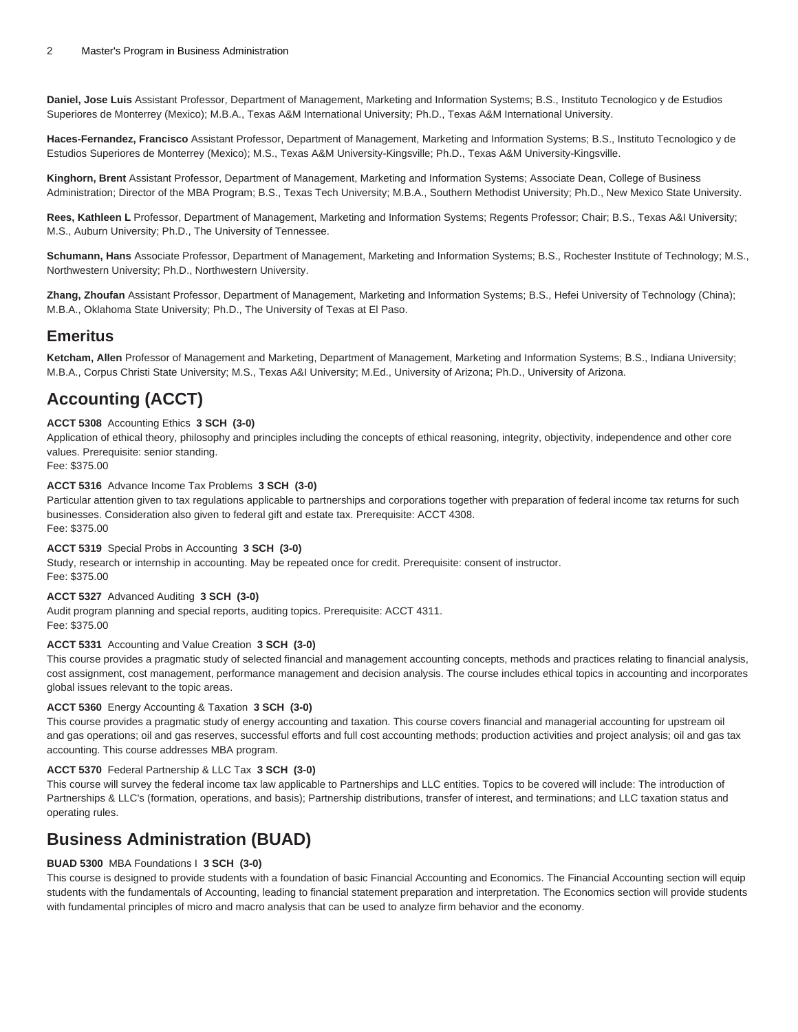**Daniel, Jose Luis** Assistant Professor, Department of Management, Marketing and Information Systems; B.S., Instituto Tecnologico y de Estudios Superiores de Monterrey (Mexico); M.B.A., Texas A&M International University; Ph.D., Texas A&M International University.

**Haces-Fernandez, Francisco** Assistant Professor, Department of Management, Marketing and Information Systems; B.S., Instituto Tecnologico y de Estudios Superiores de Monterrey (Mexico); M.S., Texas A&M University-Kingsville; Ph.D., Texas A&M University-Kingsville.

**Kinghorn, Brent** Assistant Professor, Department of Management, Marketing and Information Systems; Associate Dean, College of Business Administration; Director of the MBA Program; B.S., Texas Tech University; M.B.A., Southern Methodist University; Ph.D., New Mexico State University.

**Rees, Kathleen L** Professor, Department of Management, Marketing and Information Systems; Regents Professor; Chair; B.S., Texas A&I University; M.S., Auburn University; Ph.D., The University of Tennessee.

**Schumann, Hans** Associate Professor, Department of Management, Marketing and Information Systems; B.S., Rochester Institute of Technology; M.S., Northwestern University; Ph.D., Northwestern University.

**Zhang, Zhoufan** Assistant Professor, Department of Management, Marketing and Information Systems; B.S., Hefei University of Technology (China); M.B.A., Oklahoma State University; Ph.D., The University of Texas at El Paso.

### **Emeritus**

**Ketcham, Allen** Professor of Management and Marketing, Department of Management, Marketing and Information Systems; B.S., Indiana University; M.B.A., Corpus Christi State University; M.S., Texas A&I University; M.Ed., University of Arizona; Ph.D., University of Arizona.

# **Accounting (ACCT)**

#### **ACCT 5308** Accounting Ethics **3 SCH (3-0)**

Application of ethical theory, philosophy and principles including the concepts of ethical reasoning, integrity, objectivity, independence and other core values. Prerequisite: senior standing.

Fee: \$375.00

#### **ACCT 5316** Advance Income Tax Problems **3 SCH (3-0)**

Particular attention given to tax regulations applicable to partnerships and corporations together with preparation of federal income tax returns for such businesses. Consideration also given to federal gift and estate tax. Prerequisite: ACCT 4308. Fee: \$375.00

#### **ACCT 5319** Special Probs in Accounting **3 SCH (3-0)**

Study, research or internship in accounting. May be repeated once for credit. Prerequisite: consent of instructor. Fee: \$375.00

#### **ACCT 5327** Advanced Auditing **3 SCH (3-0)**

Audit program planning and special reports, auditing topics. Prerequisite: ACCT 4311. Fee: \$375.00

#### **ACCT 5331** Accounting and Value Creation **3 SCH (3-0)**

This course provides a pragmatic study of selected financial and management accounting concepts, methods and practices relating to financial analysis, cost assignment, cost management, performance management and decision analysis. The course includes ethical topics in accounting and incorporates global issues relevant to the topic areas.

#### **ACCT 5360** Energy Accounting & Taxation **3 SCH (3-0)**

This course provides a pragmatic study of energy accounting and taxation. This course covers financial and managerial accounting for upstream oil and gas operations; oil and gas reserves, successful efforts and full cost accounting methods; production activities and project analysis; oil and gas tax accounting. This course addresses MBA program.

#### **ACCT 5370** Federal Partnership & LLC Tax **3 SCH (3-0)**

This course will survey the federal income tax law applicable to Partnerships and LLC entities. Topics to be covered will include: The introduction of Partnerships & LLC's (formation, operations, and basis); Partnership distributions, transfer of interest, and terminations; and LLC taxation status and operating rules.

### **Business Administration (BUAD)**

#### **BUAD 5300** MBA Foundations I **3 SCH (3-0)**

This course is designed to provide students with a foundation of basic Financial Accounting and Economics. The Financial Accounting section will equip students with the fundamentals of Accounting, leading to financial statement preparation and interpretation. The Economics section will provide students with fundamental principles of micro and macro analysis that can be used to analyze firm behavior and the economy.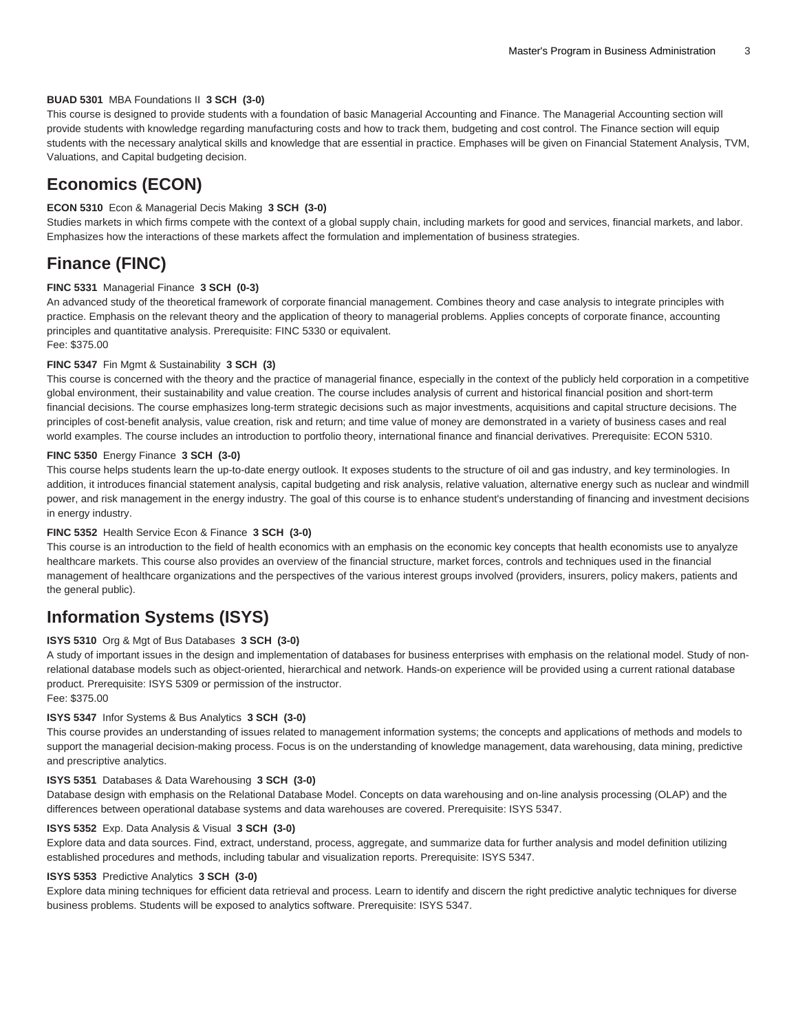#### **BUAD 5301** MBA Foundations II **3 SCH (3-0)**

This course is designed to provide students with a foundation of basic Managerial Accounting and Finance. The Managerial Accounting section will provide students with knowledge regarding manufacturing costs and how to track them, budgeting and cost control. The Finance section will equip students with the necessary analytical skills and knowledge that are essential in practice. Emphases will be given on Financial Statement Analysis, TVM, Valuations, and Capital budgeting decision.

### **Economics (ECON)**

#### **ECON 5310** Econ & Managerial Decis Making **3 SCH (3-0)**

Studies markets in which firms compete with the context of a global supply chain, including markets for good and services, financial markets, and labor. Emphasizes how the interactions of these markets affect the formulation and implementation of business strategies.

### **Finance (FINC)**

#### **FINC 5331** Managerial Finance **3 SCH (0-3)**

An advanced study of the theoretical framework of corporate financial management. Combines theory and case analysis to integrate principles with practice. Emphasis on the relevant theory and the application of theory to managerial problems. Applies concepts of corporate finance, accounting principles and quantitative analysis. Prerequisite: FINC 5330 or equivalent. Fee: \$375.00

#### **FINC 5347** Fin Mgmt & Sustainability **3 SCH (3)**

This course is concerned with the theory and the practice of managerial finance, especially in the context of the publicly held corporation in a competitive global environment, their sustainability and value creation. The course includes analysis of current and historical financial position and short-term financial decisions. The course emphasizes long-term strategic decisions such as major investments, acquisitions and capital structure decisions. The principles of cost-benefit analysis, value creation, risk and return; and time value of money are demonstrated in a variety of business cases and real world examples. The course includes an introduction to portfolio theory, international finance and financial derivatives. Prerequisite: ECON 5310.

#### **FINC 5350** Energy Finance **3 SCH (3-0)**

This course helps students learn the up-to-date energy outlook. It exposes students to the structure of oil and gas industry, and key terminologies. In addition, it introduces financial statement analysis, capital budgeting and risk analysis, relative valuation, alternative energy such as nuclear and windmill power, and risk management in the energy industry. The goal of this course is to enhance student's understanding of financing and investment decisions in energy industry.

#### **FINC 5352** Health Service Econ & Finance **3 SCH (3-0)**

This course is an introduction to the field of health economics with an emphasis on the economic key concepts that health economists use to anyalyze healthcare markets. This course also provides an overview of the financial structure, market forces, controls and techniques used in the financial management of healthcare organizations and the perspectives of the various interest groups involved (providers, insurers, policy makers, patients and the general public).

### **Information Systems (ISYS)**

#### **ISYS 5310** Org & Mgt of Bus Databases **3 SCH (3-0)**

A study of important issues in the design and implementation of databases for business enterprises with emphasis on the relational model. Study of nonrelational database models such as object-oriented, hierarchical and network. Hands-on experience will be provided using a current rational database product. Prerequisite: ISYS 5309 or permission of the instructor.

### Fee: \$375.00

#### **ISYS 5347** Infor Systems & Bus Analytics **3 SCH (3-0)**

This course provides an understanding of issues related to management information systems; the concepts and applications of methods and models to support the managerial decision-making process. Focus is on the understanding of knowledge management, data warehousing, data mining, predictive and prescriptive analytics.

#### **ISYS 5351** Databases & Data Warehousing **3 SCH (3-0)**

Database design with emphasis on the Relational Database Model. Concepts on data warehousing and on-line analysis processing (OLAP) and the differences between operational database systems and data warehouses are covered. Prerequisite: ISYS 5347.

#### **ISYS 5352** Exp. Data Analysis & Visual **3 SCH (3-0)**

Explore data and data sources. Find, extract, understand, process, aggregate, and summarize data for further analysis and model definition utilizing established procedures and methods, including tabular and visualization reports. Prerequisite: ISYS 5347.

#### **ISYS 5353** Predictive Analytics **3 SCH (3-0)**

Explore data mining techniques for efficient data retrieval and process. Learn to identify and discern the right predictive analytic techniques for diverse business problems. Students will be exposed to analytics software. Prerequisite: ISYS 5347.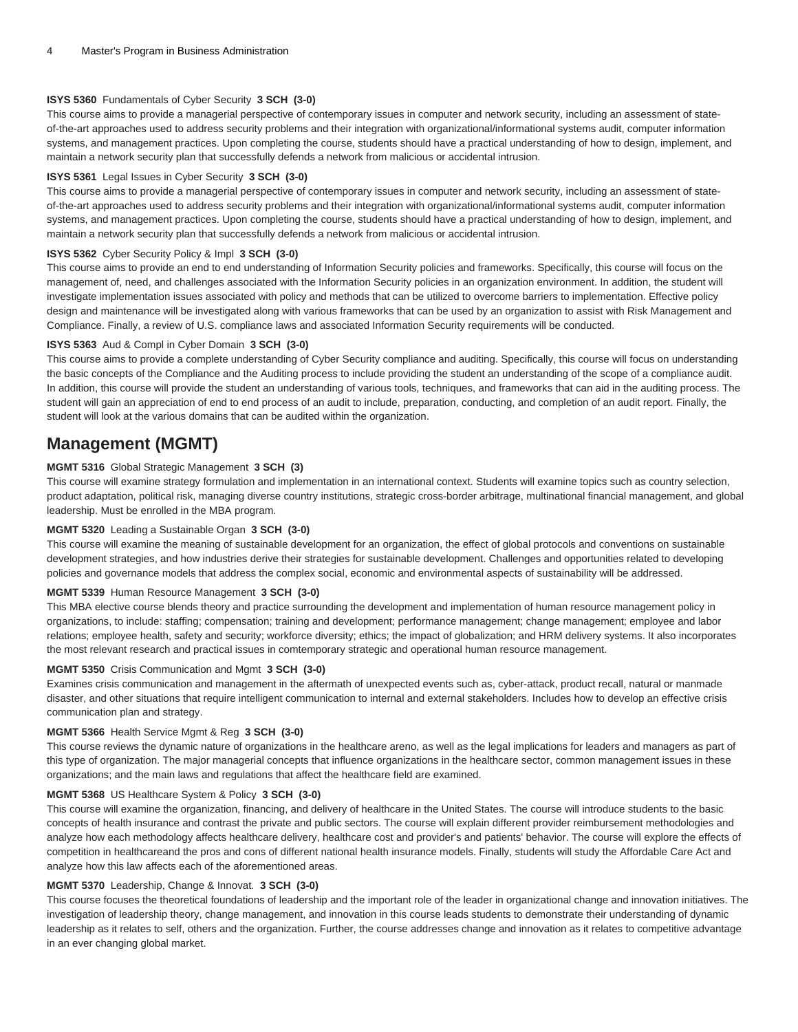#### **ISYS 5360** Fundamentals of Cyber Security **3 SCH (3-0)**

This course aims to provide a managerial perspective of contemporary issues in computer and network security, including an assessment of stateof-the-art approaches used to address security problems and their integration with organizational/informational systems audit, computer information systems, and management practices. Upon completing the course, students should have a practical understanding of how to design, implement, and maintain a network security plan that successfully defends a network from malicious or accidental intrusion.

#### **ISYS 5361** Legal Issues in Cyber Security **3 SCH (3-0)**

This course aims to provide a managerial perspective of contemporary issues in computer and network security, including an assessment of stateof-the-art approaches used to address security problems and their integration with organizational/informational systems audit, computer information systems, and management practices. Upon completing the course, students should have a practical understanding of how to design, implement, and maintain a network security plan that successfully defends a network from malicious or accidental intrusion.

#### **ISYS 5362** Cyber Security Policy & Impl **3 SCH (3-0)**

This course aims to provide an end to end understanding of Information Security policies and frameworks. Specifically, this course will focus on the management of, need, and challenges associated with the Information Security policies in an organization environment. In addition, the student will investigate implementation issues associated with policy and methods that can be utilized to overcome barriers to implementation. Effective policy design and maintenance will be investigated along with various frameworks that can be used by an organization to assist with Risk Management and Compliance. Finally, a review of U.S. compliance laws and associated Information Security requirements will be conducted.

#### **ISYS 5363** Aud & Compl in Cyber Domain **3 SCH (3-0)**

This course aims to provide a complete understanding of Cyber Security compliance and auditing. Specifically, this course will focus on understanding the basic concepts of the Compliance and the Auditing process to include providing the student an understanding of the scope of a compliance audit. In addition, this course will provide the student an understanding of various tools, techniques, and frameworks that can aid in the auditing process. The student will gain an appreciation of end to end process of an audit to include, preparation, conducting, and completion of an audit report. Finally, the student will look at the various domains that can be audited within the organization.

### **Management (MGMT)**

#### **MGMT 5316** Global Strategic Management **3 SCH (3)**

This course will examine strategy formulation and implementation in an international context. Students will examine topics such as country selection, product adaptation, political risk, managing diverse country institutions, strategic cross-border arbitrage, multinational financial management, and global leadership. Must be enrolled in the MBA program.

#### **MGMT 5320** Leading a Sustainable Organ **3 SCH (3-0)**

This course will examine the meaning of sustainable development for an organization, the effect of global protocols and conventions on sustainable development strategies, and how industries derive their strategies for sustainable development. Challenges and opportunities related to developing policies and governance models that address the complex social, economic and environmental aspects of sustainability will be addressed.

#### **MGMT 5339** Human Resource Management **3 SCH (3-0)**

This MBA elective course blends theory and practice surrounding the development and implementation of human resource management policy in organizations, to include: staffing; compensation; training and development; performance management; change management; employee and labor relations; employee health, safety and security; workforce diversity; ethics; the impact of globalization; and HRM delivery systems. It also incorporates the most relevant research and practical issues in comtemporary strategic and operational human resource management.

#### **MGMT 5350** Crisis Communication and Mgmt **3 SCH (3-0)**

Examines crisis communication and management in the aftermath of unexpected events such as, cyber-attack, product recall, natural or manmade disaster, and other situations that require intelligent communication to internal and external stakeholders. Includes how to develop an effective crisis communication plan and strategy.

#### **MGMT 5366** Health Service Mgmt & Reg **3 SCH (3-0)**

This course reviews the dynamic nature of organizations in the healthcare areno, as well as the legal implications for leaders and managers as part of this type of organization. The major managerial concepts that influence organizations in the healthcare sector, common management issues in these organizations; and the main laws and regulations that affect the healthcare field are examined.

#### **MGMT 5368** US Healthcare System & Policy **3 SCH (3-0)**

This course will examine the organization, financing, and delivery of healthcare in the United States. The course will introduce students to the basic concepts of health insurance and contrast the private and public sectors. The course will explain different provider reimbursement methodologies and analyze how each methodology affects healthcare delivery, healthcare cost and provider's and patients' behavior. The course will explore the effects of competition in healthcareand the pros and cons of different national health insurance models. Finally, students will study the Affordable Care Act and analyze how this law affects each of the aforementioned areas.

#### **MGMT 5370** Leadership, Change & Innovat. **3 SCH (3-0)**

This course focuses the theoretical foundations of leadership and the important role of the leader in organizational change and innovation initiatives. The investigation of leadership theory, change management, and innovation in this course leads students to demonstrate their understanding of dynamic leadership as it relates to self, others and the organization. Further, the course addresses change and innovation as it relates to competitive advantage in an ever changing global market.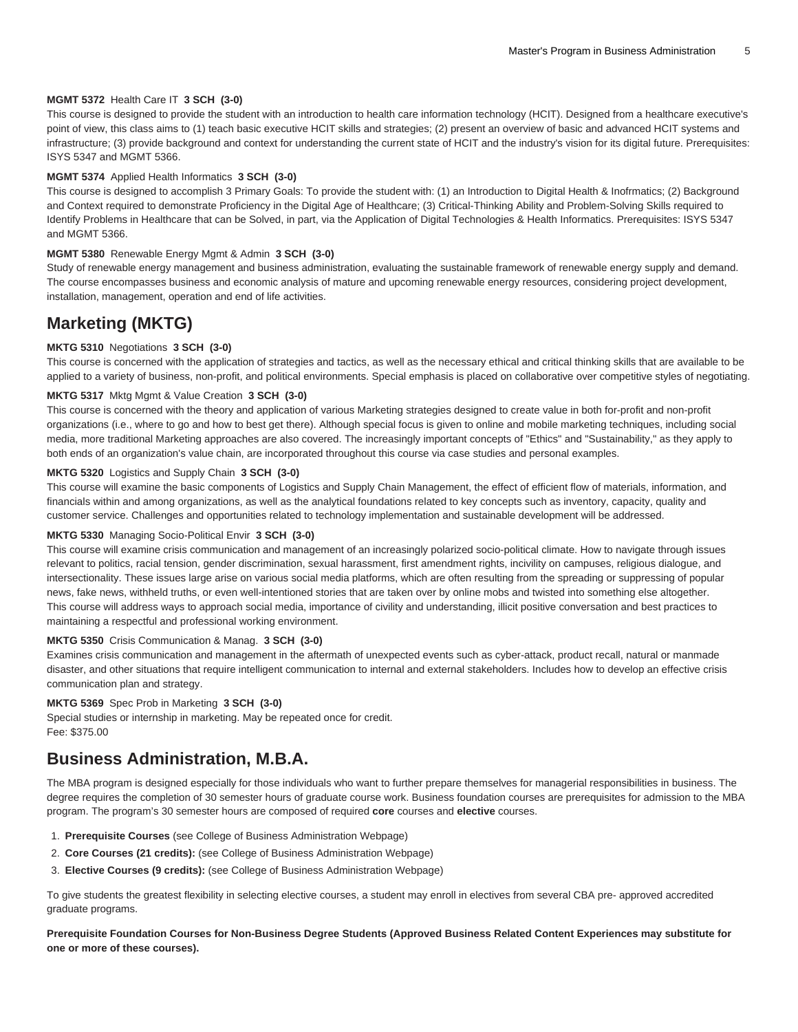#### **MGMT 5372** Health Care IT **3 SCH (3-0)**

This course is designed to provide the student with an introduction to health care information technology (HCIT). Designed from a healthcare executive's point of view, this class aims to (1) teach basic executive HCIT skills and strategies; (2) present an overview of basic and advanced HCIT systems and infrastructure; (3) provide background and context for understanding the current state of HCIT and the industry's vision for its digital future. Prerequisites: ISYS 5347 and MGMT 5366.

#### **MGMT 5374** Applied Health Informatics **3 SCH (3-0)**

This course is designed to accomplish 3 Primary Goals: To provide the student with: (1) an Introduction to Digital Health & Inofrmatics; (2) Background and Context required to demonstrate Proficiency in the Digital Age of Healthcare; (3) Critical-Thinking Ability and Problem-Solving Skills required to Identify Problems in Healthcare that can be Solved, in part, via the Application of Digital Technologies & Health Informatics. Prerequisites: ISYS 5347 and MGMT 5366.

#### **MGMT 5380** Renewable Energy Mgmt & Admin **3 SCH (3-0)**

Study of renewable energy management and business administration, evaluating the sustainable framework of renewable energy supply and demand. The course encompasses business and economic analysis of mature and upcoming renewable energy resources, considering project development, installation, management, operation and end of life activities.

### **Marketing (MKTG)**

#### **MKTG 5310** Negotiations **3 SCH (3-0)**

This course is concerned with the application of strategies and tactics, as well as the necessary ethical and critical thinking skills that are available to be applied to a variety of business, non-profit, and political environments. Special emphasis is placed on collaborative over competitive styles of negotiating.

#### **MKTG 5317** Mktg Mgmt & Value Creation **3 SCH (3-0)**

This course is concerned with the theory and application of various Marketing strategies designed to create value in both for-profit and non-profit organizations (i.e., where to go and how to best get there). Although special focus is given to online and mobile marketing techniques, including social media, more traditional Marketing approaches are also covered. The increasingly important concepts of "Ethics" and "Sustainability," as they apply to both ends of an organization's value chain, are incorporated throughout this course via case studies and personal examples.

#### **MKTG 5320** Logistics and Supply Chain **3 SCH (3-0)**

This course will examine the basic components of Logistics and Supply Chain Management, the effect of efficient flow of materials, information, and financials within and among organizations, as well as the analytical foundations related to key concepts such as inventory, capacity, quality and customer service. Challenges and opportunities related to technology implementation and sustainable development will be addressed.

#### **MKTG 5330** Managing Socio-Political Envir **3 SCH (3-0)**

This course will examine crisis communication and management of an increasingly polarized socio-political climate. How to navigate through issues relevant to politics, racial tension, gender discrimination, sexual harassment, first amendment rights, incivility on campuses, religious dialogue, and intersectionality. These issues large arise on various social media platforms, which are often resulting from the spreading or suppressing of popular news, fake news, withheld truths, or even well-intentioned stories that are taken over by online mobs and twisted into something else altogether. This course will address ways to approach social media, importance of civility and understanding, illicit positive conversation and best practices to maintaining a respectful and professional working environment.

#### **MKTG 5350** Crisis Communication & Manag. **3 SCH (3-0)**

Examines crisis communication and management in the aftermath of unexpected events such as cyber-attack, product recall, natural or manmade disaster, and other situations that require intelligent communication to internal and external stakeholders. Includes how to develop an effective crisis communication plan and strategy.

#### **MKTG 5369** Spec Prob in Marketing **3 SCH (3-0)**

Special studies or internship in marketing. May be repeated once for credit. Fee: \$375.00

### **Business Administration, M.B.A.**

The MBA program is designed especially for those individuals who want to further prepare themselves for managerial responsibilities in business. The degree requires the completion of 30 semester hours of graduate course work. Business foundation courses are prerequisites for admission to the MBA program. The program's 30 semester hours are composed of required **core** courses and **elective** courses.

- 1. **Prerequisite Courses** (see [College of Business Administration Webpage\)](http://www.tamuk.edu/cba/)
- 2. **Core Courses (21 credits):** (see [College of Business Administration Webpage](http://www.tamuk.edu/cba/))
- 3. **Elective Courses (9 credits):** (see [College of Business Administration Webpage\)](http://www.tamuk.edu/cba/)

To give students the greatest flexibility in selecting elective courses, a student may enroll in electives from several CBA pre- approved accredited graduate programs.

**Prerequisite Foundation Courses for Non-Business Degree Students (Approved Business Related Content Experiences may substitute for one or more of these courses).**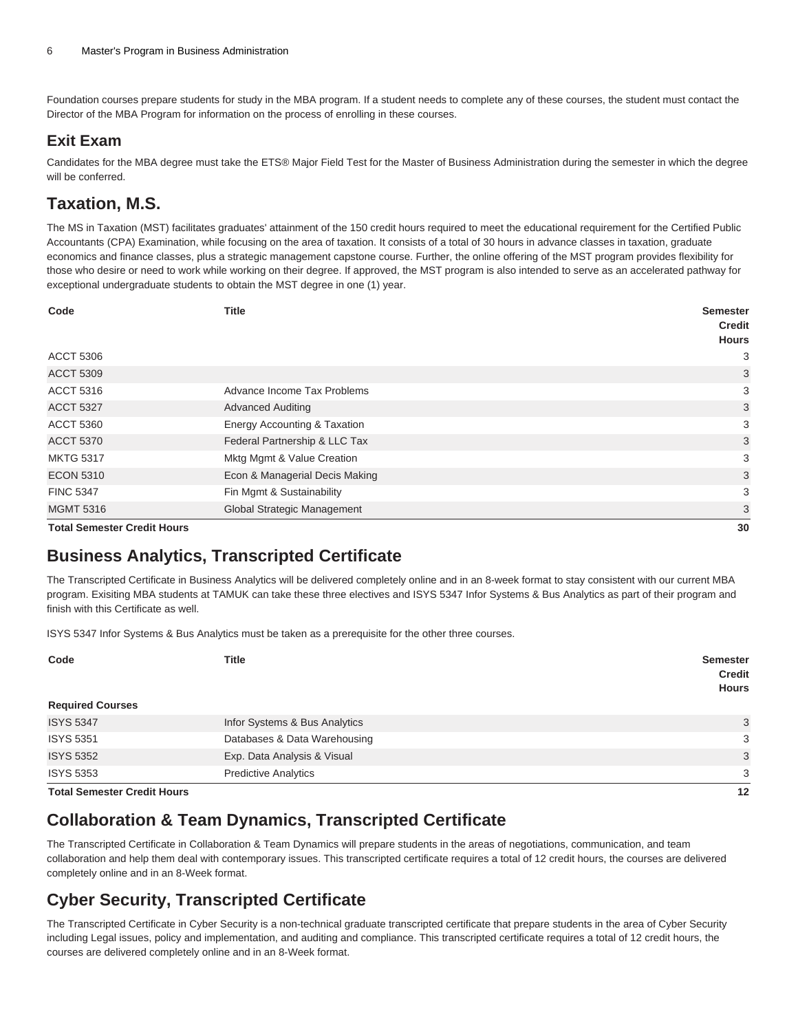Foundation courses prepare students for study in the MBA program. If a student needs to complete any of these courses, the student must contact the Director of the MBA Program for information on the process of enrolling in these courses.

### **Exit Exam**

Candidates for the MBA degree must take the ETS® Major Field Test for the Master of Business Administration during the semester in which the degree will be conferred.

# **Taxation, M.S.**

The MS in Taxation (MST) facilitates graduates' attainment of the 150 credit hours required to meet the educational requirement for the Certified Public Accountants (CPA) Examination, while focusing on the area of taxation. It consists of a total of 30 hours in advance classes in taxation, graduate economics and finance classes, plus a strategic management capstone course. Further, the online offering of the MST program provides flexibility for those who desire or need to work while working on their degree. If approved, the MST program is also intended to serve as an accelerated pathway for exceptional undergraduate students to obtain the MST degree in one (1) year.

| Code                               | <b>Title</b>                   | <b>Semester</b><br><b>Credit</b> |
|------------------------------------|--------------------------------|----------------------------------|
|                                    |                                | <b>Hours</b>                     |
| <b>ACCT 5306</b>                   |                                | 3                                |
| <b>ACCT 5309</b>                   |                                | 3                                |
| <b>ACCT 5316</b>                   | Advance Income Tax Problems    | 3                                |
| <b>ACCT 5327</b>                   | <b>Advanced Auditing</b>       | 3                                |
| <b>ACCT 5360</b>                   | Energy Accounting & Taxation   | 3                                |
| <b>ACCT 5370</b>                   | Federal Partnership & LLC Tax  | 3                                |
| <b>MKTG 5317</b>                   | Mktg Mgmt & Value Creation     | 3                                |
| <b>ECON 5310</b>                   | Econ & Managerial Decis Making | 3                                |
| <b>FINC 5347</b>                   | Fin Mgmt & Sustainability      | 3                                |
| <b>MGMT 5316</b>                   | Global Strategic Management    | 3                                |
| <b>Total Semester Credit Hours</b> |                                | ٩Ū                               |

**Total Semester Credit Hours 30**

# **Business Analytics, Transcripted Certificate**

The Transcripted Certificate in Business Analytics will be delivered completely online and in an 8-week format to stay consistent with our current MBA program. Exisiting MBA students at TAMUK can take these three electives and ISYS 5347 Infor Systems & Bus Analytics as part of their program and finish with this Certificate as well.

ISYS 5347 Infor Systems & Bus Analytics must be taken as a prerequisite for the other three courses.

| Code<br><b>Required Courses</b>    | Title                         | <b>Semester</b><br><b>Credit</b><br><b>Hours</b> |
|------------------------------------|-------------------------------|--------------------------------------------------|
| <b>ISYS 5347</b>                   | Infor Systems & Bus Analytics | 3                                                |
| <b>ISYS 5351</b>                   | Databases & Data Warehousing  | 3                                                |
| <b>ISYS 5352</b>                   | Exp. Data Analysis & Visual   | 3                                                |
| <b>ISYS 5353</b>                   | <b>Predictive Analytics</b>   | 3                                                |
| <b>Total Semester Credit Hours</b> |                               | 12                                               |

# **Collaboration & Team Dynamics, Transcripted Certificate**

The Transcripted Certificate in Collaboration & Team Dynamics will prepare students in the areas of negotiations, communication, and team collaboration and help them deal with contemporary issues. This transcripted certificate requires a total of 12 credit hours, the courses are delivered completely online and in an 8-Week format.

# **Cyber Security, Transcripted Certificate**

The Transcripted Certificate in Cyber Security is a non-technical graduate transcripted certificate that prepare students in the area of Cyber Security including Legal issues, policy and implementation, and auditing and compliance. This transcripted certificate requires a total of 12 credit hours, the courses are delivered completely online and in an 8-Week format.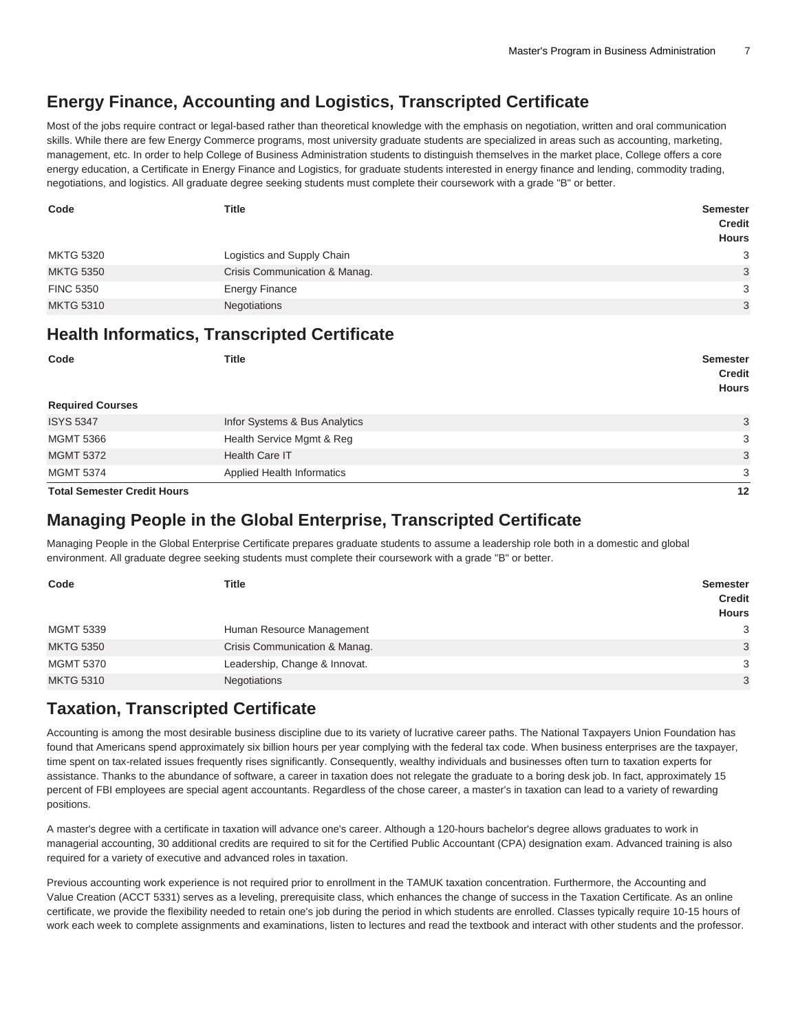# **Energy Finance, Accounting and Logistics, Transcripted Certificate**

Most of the jobs require contract or legal-based rather than theoretical knowledge with the emphasis on negotiation, written and oral communication skills. While there are few Energy Commerce programs, most university graduate students are specialized in areas such as accounting, marketing, management, etc. In order to help College of Business Administration students to distinguish themselves in the market place, College offers a core energy education, a Certificate in Energy Finance and Logistics, for graduate students interested in energy finance and lending, commodity trading, negotiations, and logistics. All graduate degree seeking students must complete their coursework with a grade "B" or better.

| Code             | <b>Title</b>                  | <b>Semester</b><br><b>Credit</b><br><b>Hours</b> |
|------------------|-------------------------------|--------------------------------------------------|
| <b>MKTG 5320</b> | Logistics and Supply Chain    | 3                                                |
| <b>MKTG 5350</b> | Crisis Communication & Manag. | 3                                                |
| <b>FINC 5350</b> | <b>Energy Finance</b>         | 3                                                |
| <b>MKTG 5310</b> | Negotiations                  | 3                                                |

### **Health Informatics, Transcripted Certificate**

| Code<br><b>Required Courses</b> | <b>Title</b>                      | <b>Semester</b><br><b>Credit</b><br><b>Hours</b> |
|---------------------------------|-----------------------------------|--------------------------------------------------|
| <b>ISYS 5347</b>                | Infor Systems & Bus Analytics     | 3                                                |
| <b>MGMT 5366</b>                | Health Service Mgmt & Reg         | 3                                                |
| <b>MGMT 5372</b>                | Health Care IT                    | 3                                                |
| <b>MGMT 5374</b>                | <b>Applied Health Informatics</b> | 3                                                |

**Total Semester Credit Hours 12**

# **Managing People in the Global Enterprise, Transcripted Certificate**

Managing People in the Global Enterprise Certificate prepares graduate students to assume a leadership role both in a domestic and global environment. All graduate degree seeking students must complete their coursework with a grade "B" or better.

| Code             | <b>Title</b>                  | <b>Semester</b><br><b>Credit</b><br><b>Hours</b> |
|------------------|-------------------------------|--------------------------------------------------|
| <b>MGMT 5339</b> | Human Resource Management     | 3                                                |
| <b>MKTG 5350</b> | Crisis Communication & Manag. | 3                                                |
| <b>MGMT 5370</b> | Leadership, Change & Innovat. | 3                                                |
| <b>MKTG 5310</b> | Negotiations                  | 3                                                |

# **Taxation, Transcripted Certificate**

Accounting is among the most desirable business discipline due to its variety of lucrative career paths. The National Taxpayers Union Foundation has found that Americans spend approximately six billion hours per year complying with the federal tax code. When business enterprises are the taxpayer, time spent on tax-related issues frequently rises significantly. Consequently, wealthy individuals and businesses often turn to taxation experts for assistance. Thanks to the abundance of software, a career in taxation does not relegate the graduate to a boring desk job. In fact, approximately 15 percent of FBI employees are special agent accountants. Regardless of the chose career, a master's in taxation can lead to a variety of rewarding positions.

A master's degree with a certificate in taxation will advance one's career. Although a 120-hours bachelor's degree allows graduates to work in managerial accounting, 30 additional credits are required to sit for the Certified Public Accountant (CPA) designation exam. Advanced training is also required for a variety of executive and advanced roles in taxation.

Previous accounting work experience is not required prior to enrollment in the TAMUK taxation concentration. Furthermore, the Accounting and Value Creation (ACCT 5331) serves as a leveling, prerequisite class, which enhances the change of success in the Taxation Certificate. As an online certificate, we provide the flexibility needed to retain one's job during the period in which students are enrolled. Classes typically require 10-15 hours of work each week to complete assignments and examinations, listen to lectures and read the textbook and interact with other students and the professor.